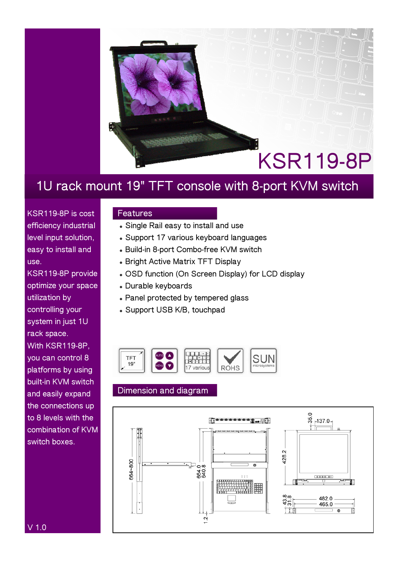

## **1U rack mount 19" TFT console with 8-port KVM switch**

**KSR119-8P is cost efficiency industrial level input solution, easy to install and use.** 

**KSR119-8P provide optimize your space utilization by controlling your system in just 1U rack space. With KSR119-8P, you can control 8 platforms by using built-in KVM switch and easily expand the connections up to 8 levels with the combination of KVM switch boxes.** 

### **Features**

- $\bullet$  Single Rail easy to install and use
- **Support 17 various keyboard languages**
- <sup>z</sup> **Build-in 8-port Combo-free KVM switch**
- **Bright Active Matrix TFT Display**
- **. OSD function (On Screen Display) for LCD display**
- <sup>z</sup> **Durable keyboards**
- **Panel protected by tempered glass**
- <sup>z</sup> **Support USB K/B, touchpad**



### **Dimension and diagram**



**V 1.0**